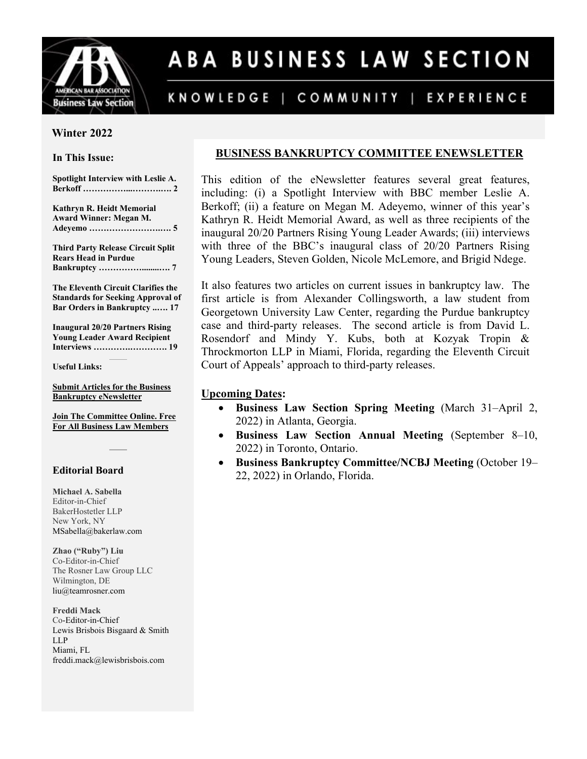

# ABA BUSINESS LAW SECTION

#### KNOWLEDGE | COMMUNITY | EXPERIENCE

#### **Winter 2022**

#### **In This Issue:**

**Spotlight Interview with Leslie A. Berkoff ……………...……….…. 2** 

**Kathryn R. Heidt Memorial Award Winner: Megan M. Adeyemo …………………….…. 5** 

**Third Party Release Circuit Split Rears Head in Purdue Bankruptcy ……………........…. 7** 

**The Eleventh Circuit Clarifies the Standards for Seeking Approval of Bar Orders in Bankruptcy ..…. 17** 

**Inaugural 20/20 Partners Rising Young Leader Award Recipient Interviews ………….…………. 19** 

**Useful Links:**

**[Submit Articles for the Business](mailto:msabella@bakerlaw.com)  [Bankruptcy eNewsletter](mailto:msabella@bakerlaw.com)**

**[Join The Committee Online. Free](https://americanbar.org/join/targeted?sdf=CL:CL160000)  [For All Business Law Members](https://americanbar.org/join/targeted?sdf=CL:CL160000)**

#### **Editorial Board**

**Michael A. Sabella** Editor-in-Chief BakerHostetler LLP New York, NY [MSabella@bakerlaw.com](mailto:msabella@bakerlaw.com)

**Zhao ("Ruby") Liu** Co-Editor-in-Chief The Rosner Law Group LLC Wilmington, DE [liu@teamrosner.com](mailto:liu@teamrosner.com)

**Freddi Mack** Co-Editor-in-Chief Lewis Brisbois Bisgaard & Smith LLP Miami, FL freddi.mack@lewisbrisbois.com

### **BUSINESS BANKRUPTCY COMMITTEE ENEWSLETTER**

This edition of the eNewsletter features several great features, including: (i) a Spotlight Interview with BBC member Leslie A. Berkoff; (ii) a feature on Megan M. Adeyemo, winner of this year's Kathryn R. Heidt Memorial Award, as well as three recipients of the inaugural 20/20 Partners Rising Young Leader Awards; (iii) interviews with three of the BBC's inaugural class of 20/20 Partners Rising Young Leaders, Steven Golden, Nicole McLemore, and Brigid Ndege.

It also features two articles on current issues in bankruptcy law. The first article is from Alexander Collingsworth, a law student from Georgetown University Law Center, regarding the Purdue bankruptcy case and third-party releases. The second article is from David L. Rosendorf and Mindy Y. Kubs, both at Kozyak Tropin & Throckmorton LLP in Miami, Florida, regarding the Eleventh Circuit Court of Appeals' approach to third-party releases.

#### **Upcoming Dates:**

- **Business Law Section Spring Meeting** (March 31–April 2, 2022) in Atlanta, Georgia.
- **Business Law Section Annual Meeting** (September 8–10, 2022) in Toronto, Ontario.
- **Business Bankruptcy Committee/NCBJ Meeting** (October 19– 22, 2022) in Orlando, Florida.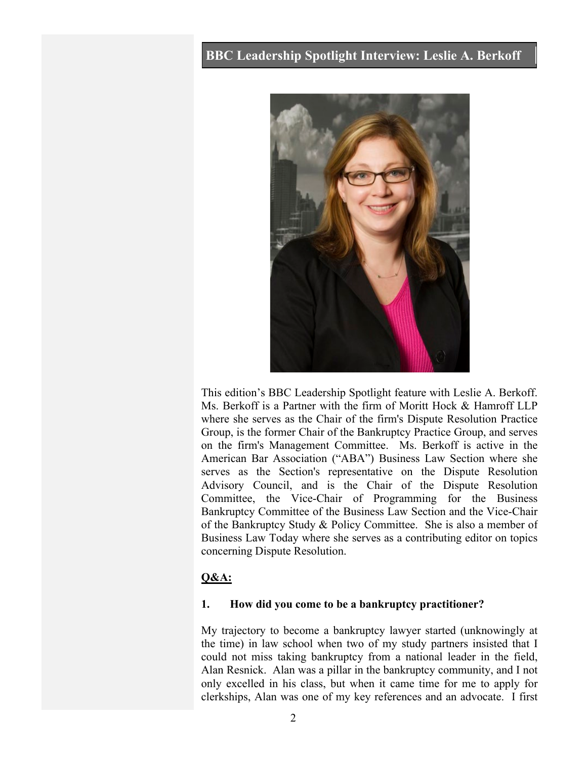## **BBC Leadership Spotlight Interview: Leslie A. Berkoff**



This edition's BBC Leadership Spotlight feature with Leslie A. Berkoff. Ms. Berkoff is a Partner with the firm of Moritt Hock & Hamroff LLP where she serves as the Chair of the firm's Dispute Resolution Practice Group, is the former Chair of the Bankruptcy Practice Group, and serves on the firm's Management Committee. Ms. Berkoff is active in the American Bar Association ("ABA") Business Law Section where she serves as the Section's representative on the Dispute Resolution Advisory Council, and is the Chair of the Dispute Resolution Committee, the Vice-Chair of Programming for the Business Bankruptcy Committee of the Business Law Section and the Vice-Chair of the Bankruptcy Study & Policy Committee. She is also a member of Business Law Today where she serves as a contributing editor on topics concerning Dispute Resolution.

#### **Q&A:**

#### **1. How did you come to be a bankruptcy practitioner?**

My trajectory to become a bankruptcy lawyer started (unknowingly at the time) in law school when two of my study partners insisted that I could not miss taking bankruptcy from a national leader in the field, Alan Resnick. Alan was a pillar in the bankruptcy community, and I not only excelled in his class, but when it came time for me to apply for clerkships, Alan was one of my key references and an advocate. I first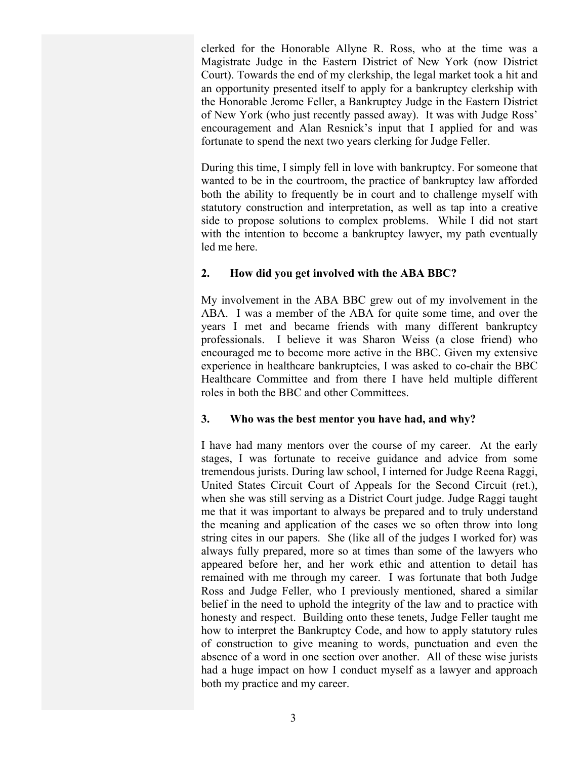clerked for the Honorable Allyne R. Ross, who at the time was a Magistrate Judge in the Eastern District of New York (now District Court). Towards the end of my clerkship, the legal market took a hit and an opportunity presented itself to apply for a bankruptcy clerkship with the Honorable Jerome Feller, a Bankruptcy Judge in the Eastern District of New York (who just recently passed away). It was with Judge Ross' encouragement and Alan Resnick's input that I applied for and was fortunate to spend the next two years clerking for Judge Feller.

During this time, I simply fell in love with bankruptcy. For someone that wanted to be in the courtroom, the practice of bankruptcy law afforded both the ability to frequently be in court and to challenge myself with statutory construction and interpretation, as well as tap into a creative side to propose solutions to complex problems. While I did not start with the intention to become a bankruptcy lawyer, my path eventually led me here.

#### **2. How did you get involved with the ABA BBC?**

My involvement in the ABA BBC grew out of my involvement in the ABA. I was a member of the ABA for quite some time, and over the years I met and became friends with many different bankruptcy professionals. I believe it was Sharon Weiss (a close friend) who encouraged me to become more active in the BBC. Given my extensive experience in healthcare bankruptcies, I was asked to co-chair the BBC Healthcare Committee and from there I have held multiple different roles in both the BBC and other Committees.

#### **3. Who was the best mentor you have had, and why?**

I have had many mentors over the course of my career. At the early stages, I was fortunate to receive guidance and advice from some tremendous jurists. During law school, I interned for Judge Reena Raggi, United States Circuit Court of Appeals for the Second Circuit (ret.), when she was still serving as a District Court judge. Judge Raggi taught me that it was important to always be prepared and to truly understand the meaning and application of the cases we so often throw into long string cites in our papers. She (like all of the judges I worked for) was always fully prepared, more so at times than some of the lawyers who appeared before her, and her work ethic and attention to detail has remained with me through my career. I was fortunate that both Judge Ross and Judge Feller, who I previously mentioned, shared a similar belief in the need to uphold the integrity of the law and to practice with honesty and respect. Building onto these tenets, Judge Feller taught me how to interpret the Bankruptcy Code, and how to apply statutory rules of construction to give meaning to words, punctuation and even the absence of a word in one section over another. All of these wise jurists had a huge impact on how I conduct myself as a lawyer and approach both my practice and my career.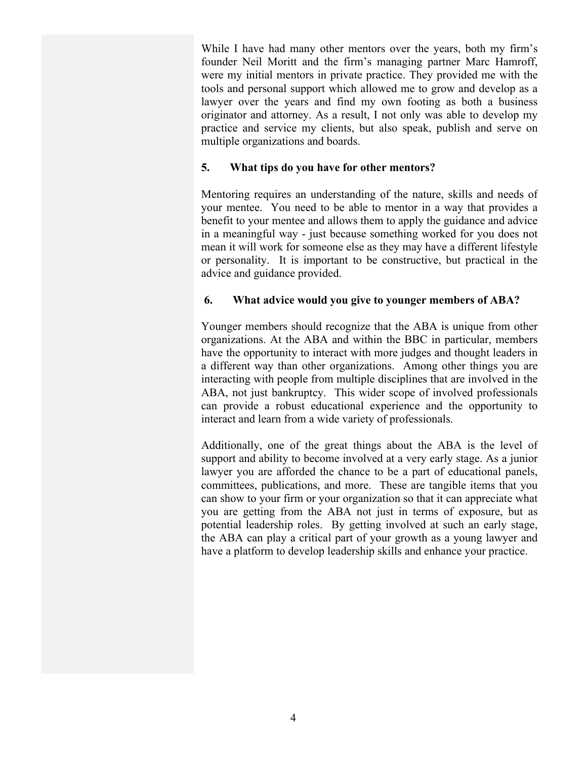While I have had many other mentors over the years, both my firm's founder Neil Moritt and the firm's managing partner Marc Hamroff, were my initial mentors in private practice. They provided me with the tools and personal support which allowed me to grow and develop as a lawyer over the years and find my own footing as both a business originator and attorney. As a result, I not only was able to develop my practice and service my clients, but also speak, publish and serve on multiple organizations and boards.

#### **5. What tips do you have for other mentors?**

Mentoring requires an understanding of the nature, skills and needs of your mentee. You need to be able to mentor in a way that provides a benefit to your mentee and allows them to apply the guidance and advice in a meaningful way - just because something worked for you does not mean it will work for someone else as they may have a different lifestyle or personality. It is important to be constructive, but practical in the advice and guidance provided.

#### **6. What advice would you give to younger members of ABA?**

Younger members should recognize that the ABA is unique from other organizations. At the ABA and within the BBC in particular, members have the opportunity to interact with more judges and thought leaders in a different way than other organizations. Among other things you are interacting with people from multiple disciplines that are involved in the ABA, not just bankruptcy. This wider scope of involved professionals can provide a robust educational experience and the opportunity to interact and learn from a wide variety of professionals.

Additionally, one of the great things about the ABA is the level of support and ability to become involved at a very early stage. As a junior lawyer you are afforded the chance to be a part of educational panels, committees, publications, and more. These are tangible items that you can show to your firm or your organization so that it can appreciate what you are getting from the ABA not just in terms of exposure, but as potential leadership roles. By getting involved at such an early stage, the ABA can play a critical part of your growth as a young lawyer and have a platform to develop leadership skills and enhance your practice.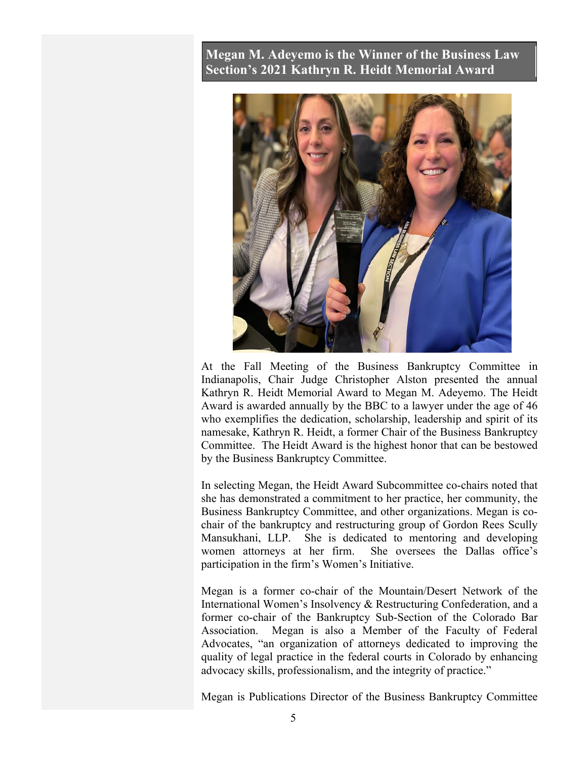## **Megan M. Adeyemo is the Winner of the Business Law Section's 2021 Kathryn R. Heidt Memorial Award**



At the Fall Meeting of the Business Bankruptcy Committee in Indianapolis, Chair Judge Christopher Alston presented the annual Kathryn R. Heidt Memorial Award to Megan M. Adeyemo. The Heidt Award is awarded annually by the BBC to a lawyer under the age of 46 who exemplifies the dedication, scholarship, leadership and spirit of its namesake, Kathryn R. Heidt, a former Chair of the Business Bankruptcy Committee. The Heidt Award is the highest honor that can be bestowed by the Business Bankruptcy Committee.

In selecting Megan, the Heidt Award Subcommittee co-chairs noted that she has demonstrated a commitment to her practice, her community, the Business Bankruptcy Committee, and other organizations. Megan is cochair of the bankruptcy and restructuring group of Gordon Rees Scully Mansukhani, LLP. She is dedicated to mentoring and developing women attorneys at her firm. She oversees the Dallas office's participation in the firm's Women's Initiative.

Megan is a former co-chair of the Mountain/Desert Network of the International Women's Insolvency & Restructuring Confederation, and a former co-chair of the Bankruptcy Sub-Section of the Colorado Bar Association. Megan is also a Member of the Faculty of Federal Advocates, "an organization of attorneys dedicated to improving the quality of legal practice in the federal courts in Colorado by enhancing advocacy skills, professionalism, and the integrity of practice."

Megan is Publications Director of the Business Bankruptcy Committee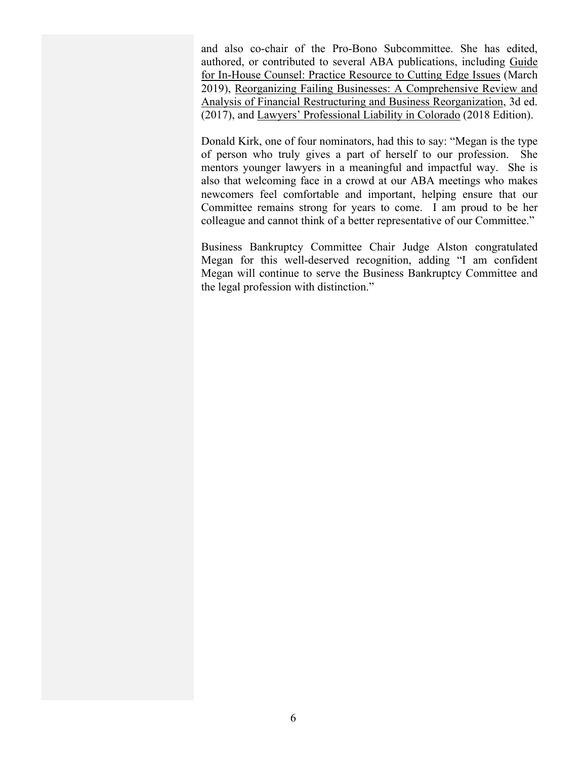and also co-chair of the Pro-Bono Subcommittee. She has edited, authored, or contributed to several ABA publications, including Guide for In-House Counsel: Practice Resource to Cutting Edge Issues (March 2019), Reorganizing Failing Businesses: A Comprehensive Review and Analysis of Financial Restructuring and Business Reorganization, 3d ed. (2017), and Lawyers' Professional Liability in Colorado (2018 Edition).

Donald Kirk, one of four nominators, had this to say: "Megan is the type of person who truly gives a part of herself to our profession. She mentors younger lawyers in a meaningful and impactful way. She is also that welcoming face in a crowd at our ABA meetings who makes newcomers feel comfortable and important, helping ensure that our Committee remains strong for years to come. I am proud to be her colleague and cannot think of a better representative of our Committee."

Business Bankruptcy Committee Chair Judge Alston congratulated Megan for this well-deserved recognition, adding "I am confident Megan will continue to serve the Business Bankruptcy Committee and the legal profession with distinction."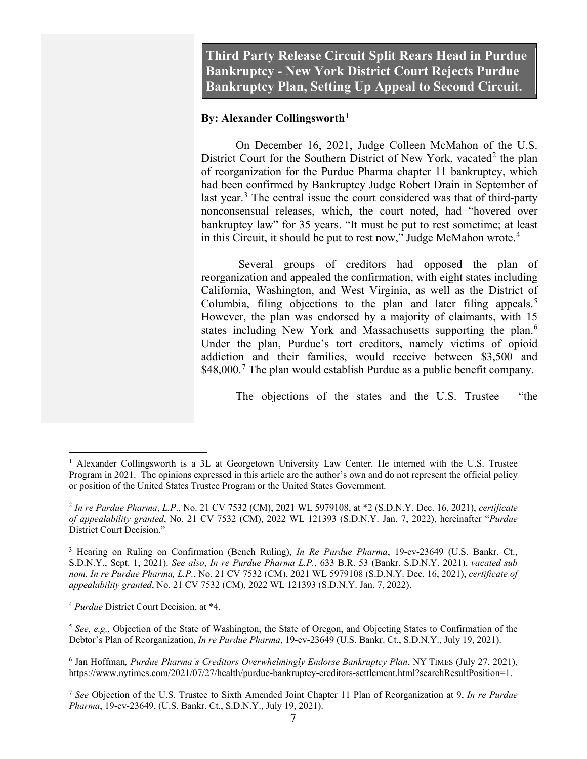**Third Party Release Circuit Split Rears Head in Purdue Bankruptcy - New York District Court Rejects Purdue Bankruptcy Plan, Setting Up Appeal to Second Circuit.**

#### **By: Alexander Collingsworth[1](#page-6-0)**

On December 16, 2021, Judge Colleen McMahon of the U.S. District Court for the Southern District of New York, vacated<sup>[2](#page-6-1)</sup> the plan of reorganization for the Purdue Pharma chapter 11 bankruptcy, which had been confirmed by Bankruptcy Judge Robert Drain in September of last year.<sup>[3](#page-6-2)</sup> The central issue the court considered was that of third-party nonconsensual releases, which, the court noted, had "hovered over bankruptcy law" for 35 years. "It must be put to rest sometime; at least in this Circuit, it should be put to rest now," Judge McMahon wrote.<sup>[4](#page-6-3)</sup>

Several groups of creditors had opposed the plan of reorganization and appealed the confirmation, with eight states including California, Washington, and West Virginia, as well as the District of Columbia, filing objections to the plan and later filing appeals.<sup>[5](#page-6-4)</sup> However, the plan was endorsed by a majority of claimants, with 15 states including New York and Massachusetts supporting the plan.<sup>[6](#page-6-5)</sup> Under the plan, Purdue's tort creditors, namely victims of opioid addiction and their families, would receive between \$3,500 and  $$48,000$ .<sup>[7](#page-6-6)</sup> The plan would establish Purdue as a public benefit company.

The objections of the states and the U.S. Trustee— "the

<span id="page-6-3"></span><sup>4</sup> *Purdue* District Court Decision, at \*4.

<span id="page-6-0"></span><sup>&</sup>lt;sup>1</sup> Alexander Collingsworth is a 3L at Georgetown University Law Center. He interned with the U.S. Trustee Program in 2021. The opinions expressed in this article are the author's own and do not represent the official policy or position of the United States Trustee Program or the United States Government.

<span id="page-6-1"></span><sup>2</sup> *In re Purdue Pharma*, *L.P*., No. 21 CV 7532 (CM), 2021 WL 5979108, at \*2 (S.D.N.Y. Dec. 16, 2021), *certificate of appealability granted*, No. 21 CV 7532 (CM), 2022 WL 121393 (S.D.N.Y. Jan. 7, 2022), hereinafter "*Purdue*  District Court Decision."

<span id="page-6-2"></span><sup>&</sup>lt;sup>3</sup> Hearing on Ruling on Confirmation (Bench Ruling), *In Re Purdue Pharma*, 19-cv-23649 (U.S. Bankr. Ct., S.D.N.Y., Sept. 1, 2021). *See also*, *In re Purdue Pharma L.P.*, 633 B.R. 53 (Bankr. S.D.N.Y. 2021), *vacated sub nom. In re Purdue Pharma, L.P.*, No. 21 CV 7532 (CM), 2021 WL 5979108 (S.D.N.Y. Dec. 16, 2021), *certificate of appealability granted*, No. 21 CV 7532 (CM), 2022 WL 121393 (S.D.N.Y. Jan. 7, 2022).

<span id="page-6-4"></span><sup>&</sup>lt;sup>5</sup> See, e.g., Objection of the State of Washington, the State of Oregon, and Objecting States to Confirmation of the Debtor's Plan of Reorganization, *In re Purdue Pharma*, 19-cv-23649 (U.S. Bankr. Ct., S.D.N.Y., July 19, 2021).

<span id="page-6-5"></span><sup>6</sup> Jan Hoffman*, Purdue Pharma's Creditors Overwhelmingly Endorse Bankruptcy Plan*, NY TIMES (July 27, 2021), https://www.nytimes.com/2021/07/27/health/purdue-bankruptcy-creditors-settlement.html?searchResultPosition=1.

<span id="page-6-6"></span><sup>7</sup> *See* Objection of the U.S. Trustee to Sixth Amended Joint Chapter 11 Plan of Reorganization at 9, *In re Purdue Pharma*, 19-cv-23649, (U.S. Bankr. Ct., S.D.N.Y., July 19, 2021).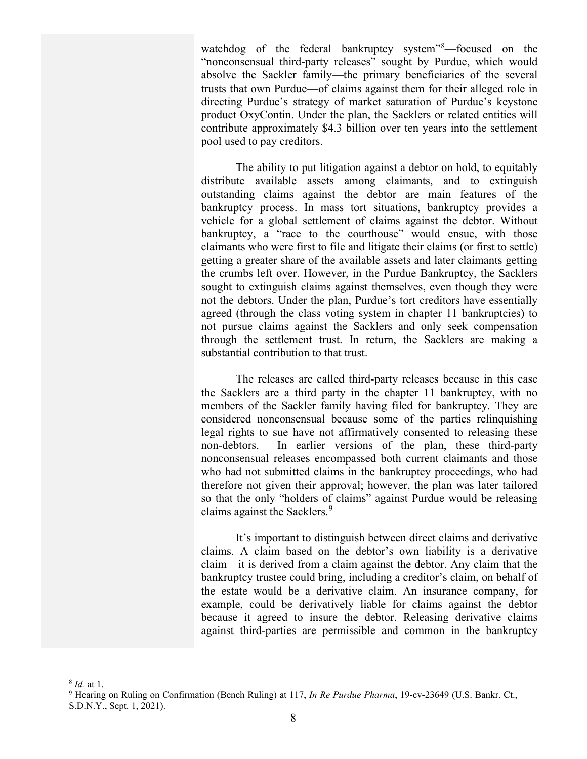watchdog of the federal bankruptcy system"<sup>[8](#page-7-0)</sup>—focused on the "nonconsensual third-party releases" sought by Purdue, which would absolve the Sackler family—the primary beneficiaries of the several trusts that own Purdue—of claims against them for their alleged role in directing Purdue's strategy of market saturation of Purdue's keystone product OxyContin. Under the plan, the Sacklers or related entities will contribute approximately \$4.3 billion over ten years into the settlement pool used to pay creditors.

The ability to put litigation against a debtor on hold, to equitably distribute available assets among claimants, and to extinguish outstanding claims against the debtor are main features of the bankruptcy process. In mass tort situations, bankruptcy provides a vehicle for a global settlement of claims against the debtor. Without bankruptcy, a "race to the courthouse" would ensue, with those claimants who were first to file and litigate their claims (or first to settle) getting a greater share of the available assets and later claimants getting the crumbs left over. However, in the Purdue Bankruptcy, the Sacklers sought to extinguish claims against themselves, even though they were not the debtors. Under the plan, Purdue's tort creditors have essentially agreed (through the class voting system in chapter 11 bankruptcies) to not pursue claims against the Sacklers and only seek compensation through the settlement trust. In return, the Sacklers are making a substantial contribution to that trust.

The releases are called third-party releases because in this case the Sacklers are a third party in the chapter 11 bankruptcy, with no members of the Sackler family having filed for bankruptcy. They are considered nonconsensual because some of the parties relinquishing legal rights to sue have not affirmatively consented to releasing these non-debtors. In earlier versions of the plan, these third-party nonconsensual releases encompassed both current claimants and those who had not submitted claims in the bankruptcy proceedings, who had therefore not given their approval; however, the plan was later tailored so that the only "holders of claims" against Purdue would be releasing claims against the Sacklers.<sup>[9](#page-7-1)</sup>

It's important to distinguish between direct claims and derivative claims. A claim based on the debtor's own liability is a derivative claim—it is derived from a claim against the debtor. Any claim that the bankruptcy trustee could bring, including a creditor's claim, on behalf of the estate would be a derivative claim. An insurance company, for example, could be derivatively liable for claims against the debtor because it agreed to insure the debtor. Releasing derivative claims against third-parties are permissible and common in the bankruptcy

<span id="page-7-1"></span><span id="page-7-0"></span><sup>&</sup>lt;sup>8</sup> *Id.* at 1.<br><sup>9</sup> Hearing on Ruling on Confirmation (Bench Ruling) at 117, *In Re Purdue Pharma*, 19-cv-23649 (U.S. Bankr. Ct., S.D.N.Y., Sept. 1, 2021).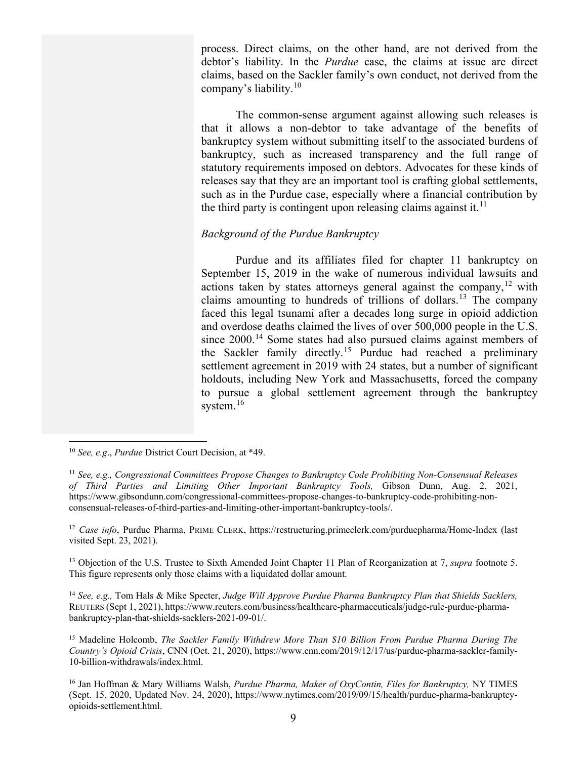process. Direct claims, on the other hand, are not derived from the debtor's liability. In the *Purdue* case, the claims at issue are direct claims, based on the Sackler family's own conduct, not derived from the company's liability.[10](#page-8-0)

The common-sense argument against allowing such releases is that it allows a non-debtor to take advantage of the benefits of bankruptcy system without submitting itself to the associated burdens of bankruptcy, such as increased transparency and the full range of statutory requirements imposed on debtors. Advocates for these kinds of releases say that they are an important tool is crafting global settlements, such as in the Purdue case, especially where a financial contribution by the third party is contingent upon releasing claims against it.<sup>[11](#page-8-1)</sup>

#### *Background of the Purdue Bankruptcy*

Purdue and its affiliates filed for chapter 11 bankruptcy on September 15, 2019 in the wake of numerous individual lawsuits and actions taken by states attorneys general against the company,  $12$  with claims amounting to hundreds of trillions of dollars.<sup>[13](#page-8-3)</sup> The company faced this legal tsunami after a decades long surge in opioid addiction and overdose deaths claimed the lives of over 500,000 people in the U.S. since 2000.<sup>[14](#page-8-4)</sup> Some states had also pursued claims against members of the Sackler family directly.<sup>[15](#page-8-5)</sup> Purdue had reached a preliminary settlement agreement in 2019 with 24 states, but a number of significant holdouts, including New York and Massachusetts, forced the company to pursue a global settlement agreement through the bankruptcy system.<sup>[16](#page-8-6)</sup>

<span id="page-8-4"></span><sup>14</sup> *See, e.g.,* Tom Hals & Mike Specter, *Judge Will Approve Purdue Pharma Bankruptcy Plan that Shields Sacklers,*  REUTERS (Sept 1, 2021), https://www.reuters.com/business/healthcare-pharmaceuticals/judge-rule-purdue-pharmabankruptcy-plan-that-shields-sacklers-2021-09-01/.

<span id="page-8-0"></span><sup>10</sup> *See, e.g*., *Purdue* District Court Decision, at \*49.

<span id="page-8-1"></span><sup>11</sup> *See, e.g., Congressional Committees Propose Changes to Bankruptcy Code Prohibiting Non-Consensual Releases of Third Parties and Limiting Other Important Bankruptcy Tools,* Gibson Dunn, Aug. 2, 2021, [https://www.gibsondunn.com/congressional-committees-propose-changes-to-bankruptcy-code-prohibiting-non](https://www.gibsondunn.com/congressional-committees-propose-changes-to-bankruptcy-code-prohibiting-non-consensual-releases-of-third-parties-and-limiting-other-important-bankruptcy-tools/)[consensual-releases-of-third-parties-and-limiting-other-important-bankruptcy-tools/.](https://www.gibsondunn.com/congressional-committees-propose-changes-to-bankruptcy-code-prohibiting-non-consensual-releases-of-third-parties-and-limiting-other-important-bankruptcy-tools/) 

<span id="page-8-2"></span><sup>12</sup> *Case info*, Purdue Pharma, PRIME CLERK,<https://restructuring.primeclerk.com/purduepharma/Home-Index> (last visited Sept. 23, 2021).

<span id="page-8-3"></span><sup>13</sup> Objection of the U.S. Trustee to Sixth Amended Joint Chapter 11 Plan of Reorganization at 7, *supra* footnote 5. This figure represents only those claims with a liquidated dollar amount.

<span id="page-8-5"></span><sup>15</sup> Madeline Holcomb, *The Sackler Family Withdrew More Than \$10 Billion From Purdue Pharma During The Country's Opioid Crisis*, CNN (Oct. 21, 2020), [https://www.cnn.com/2019/12/17/us/purdue-pharma-sackler-family-](https://www.cnn.com/2019/12/17/us/purdue-pharma-sackler-family-10-billion-withdrawals/index.html)[10-billion-withdrawals/index.html.](https://www.cnn.com/2019/12/17/us/purdue-pharma-sackler-family-10-billion-withdrawals/index.html)

<span id="page-8-6"></span><sup>16</sup> Jan Hoffman & Mary Williams Walsh, *Purdue Pharma, Maker of OxyContin, Files for Bankruptcy,* NY TIMES (Sept. 15, 2020, Updated Nov. 24, 2020), [https://www.nytimes.com/2019/09/15/health/purdue-pharma-bankruptcy](https://www.nytimes.com/2019/09/15/health/purdue-pharma-bankruptcy-opioids-settlement.html)[opioids-settlement.html.](https://www.nytimes.com/2019/09/15/health/purdue-pharma-bankruptcy-opioids-settlement.html)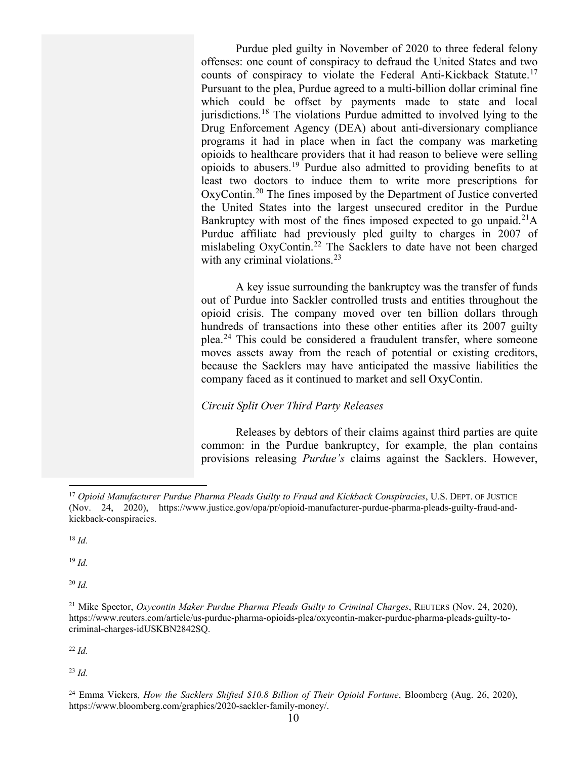Purdue pled guilty in November of 2020 to three federal felony offenses: one count of conspiracy to defraud the United States and two counts of conspiracy to violate the Federal Anti-Kickback Statute.<sup>[17](#page-9-0)</sup> Pursuant to the plea, Purdue agreed to a multi-billion dollar criminal fine which could be offset by payments made to state and local jurisdictions.<sup>[18](#page-9-1)</sup> The violations Purdue admitted to involved lying to the Drug Enforcement Agency (DEA) about anti-diversionary compliance programs it had in place when in fact the company was marketing opioids to healthcare providers that it had reason to believe were selling opioids to abusers.[19](#page-9-2) Purdue also admitted to providing benefits to at least two doctors to induce them to write more prescriptions for OxyContin.[20](#page-9-3) The fines imposed by the Department of Justice converted the United States into the largest unsecured creditor in the Purdue Bankruptcy with most of the fines imposed expected to go unpaid.<sup>[21](#page-9-4)</sup>A Purdue affiliate had previously pled guilty to charges in 2007 of mislabeling OxyContin.<sup>[22](#page-9-5)</sup> The Sacklers to date have not been charged with any criminal violations. $^{23}$  $^{23}$  $^{23}$ 

A key issue surrounding the bankruptcy was the transfer of funds out of Purdue into Sackler controlled trusts and entities throughout the opioid crisis. The company moved over ten billion dollars through hundreds of transactions into these other entities after its 2007 guilty plea.[24](#page-9-7) This could be considered a fraudulent transfer, where someone moves assets away from the reach of potential or existing creditors, because the Sacklers may have anticipated the massive liabilities the company faced as it continued to market and sell OxyContin.

#### *Circuit Split Over Third Party Releases*

Releases by debtors of their claims against third parties are quite common: in the Purdue bankruptcy, for example, the plan contains provisions releasing *Purdue's* claims against the Sacklers. However,

<span id="page-9-1"></span> $18$  *Id.* 

<span id="page-9-2"></span><sup>19</sup> *Id.*

<span id="page-9-3"></span><sup>20</sup> *Id.* 

<span id="page-9-5"></span><sup>22</sup> *Id.*

<span id="page-9-6"></span><sup>23</sup> *Id.*

<span id="page-9-0"></span><sup>17</sup> *Opioid Manufacturer Purdue Pharma Pleads Guilty to Fraud and Kickback Conspiracies*, U.S. DEPT. OF JUSTICE (Nov. 24, 2020), https://www.justice.gov/opa/pr/opioid-manufacturer-purdue-pharma-pleads-guilty-fraud-andkickback-conspiracies.

<span id="page-9-4"></span><sup>21</sup> Mike Spector, *Oxycontin Maker Purdue Pharma Pleads Guilty to Criminal Charges*, REUTERS (Nov. 24, 2020), [https://www.reuters.com/article/us-purdue-pharma-opioids-plea/oxycontin-maker-purdue-pharma-pleads-guilty-to](https://www.reuters.com/article/us-purdue-pharma-opioids-plea/oxycontin-maker-purdue-pharma-pleads-guilty-to-criminal-charges-idUSKBN2842SQ)[criminal-charges-idUSKBN2842SQ.](https://www.reuters.com/article/us-purdue-pharma-opioids-plea/oxycontin-maker-purdue-pharma-pleads-guilty-to-criminal-charges-idUSKBN2842SQ)

<span id="page-9-7"></span><sup>&</sup>lt;sup>24</sup> Emma Vickers, *How the Sacklers Shifted \$10.8 Billion of Their Opioid Fortune*, Bloomberg (Aug. 26, 2020), [https://www.bloomberg.com/graphics/2020-sackler-family-money/.](https://www.bloomberg.com/graphics/2020-sackler-family-money/)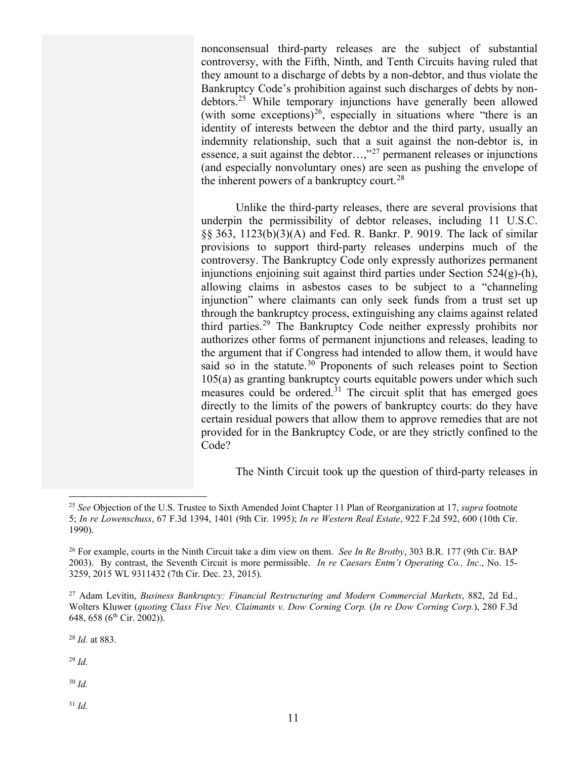nonconsensual third-party releases are the subject of substantial controversy, with the Fifth, Ninth, and Tenth Circuits having ruled that they amount to a discharge of debts by a non-debtor, and thus violate the Bankruptcy Code's prohibition against such discharges of debts by nondebtors.[25](#page-10-0) While temporary injunctions have generally been allowed (with some exceptions)<sup>[26](#page-10-1)</sup>, especially in situations where "there is an identity of interests between the debtor and the third party, usually an indemnity relationship, such that a suit against the non-debtor is, in essence, a suit against the debtor…,"[27](#page-10-2) permanent releases or injunctions (and especially nonvoluntary ones) are seen as pushing the envelope of the inherent powers of a bankruptcy court.<sup>[28](#page-10-3)</sup>

Unlike the third-party releases, there are several provisions that underpin the permissibility of debtor releases, including 11 U.S.C. §§ 363, 1123(b)(3)(A) and Fed. R. Bankr. P. 9019. The lack of similar provisions to support third-party releases underpins much of the controversy. The Bankruptcy Code only expressly authorizes permanent injunctions enjoining suit against third parties under Section  $524(g)$ -(h), allowing claims in asbestos cases to be subject to a "channeling injunction" where claimants can only seek funds from a trust set up through the bankruptcy process, extinguishing any claims against related third parties.<sup>[29](#page-10-4)</sup> The Bankruptcy Code neither expressly prohibits nor authorizes other forms of permanent injunctions and releases, leading to the argument that if Congress had intended to allow them, it would have said so in the statute.<sup>[30](#page-10-5)</sup> Proponents of such releases point to Section 105(a) as granting bankruptcy courts equitable powers under which such measures could be ordered.<sup>[31](#page-10-6)</sup> The circuit split that has emerged goes directly to the limits of the powers of bankruptcy courts: do they have certain residual powers that allow them to approve remedies that are not provided for in the Bankruptcy Code, or are they strictly confined to the Code?

The Ninth Circuit took up the question of third-party releases in

<span id="page-10-3"></span><sup>28</sup> *Id.* at 883.

<span id="page-10-4"></span><sup>29</sup> *Id.*

<span id="page-10-5"></span><sup>30</sup> *Id.* 

<span id="page-10-6"></span><sup>31</sup> *Id.* 

<span id="page-10-0"></span><sup>25</sup> *See* Objection of the U.S. Trustee to Sixth Amended Joint Chapter 11 Plan of Reorganization at 17, *supra* footnote 5; *In re Lowenschuss*, 67 F.3d 1394, 1401 (9th Cir. 1995); *In re Western Real Estate*, 922 F.2d 592, 600 (10th Cir. 1990).

<span id="page-10-1"></span><sup>26</sup> For example, courts in the Ninth Circuit take a dim view on them. *See In Re Brotby*, 303 B.R. 177 (9th Cir. BAP 2003). By contrast, the Seventh Circuit is more permissible. *In re Caesars Entm't Operating Co., Inc*., No. 15- 3259, 2015 WL 9311432 (7th Cir. Dec. 23, 2015).

<span id="page-10-2"></span><sup>27</sup> Adam Levitin, *Business Bankruptcy: Financial Restructuring and Modern Commercial Markets*, 882, 2d Ed., Wolters Kluwer (*quoting Class Five Nev. Claimants v. Dow Corning Corp.* (*In re Dow Corning Corp.*), 280 F.3d 648, 658 (6<sup>th</sup> Cir. 2002)).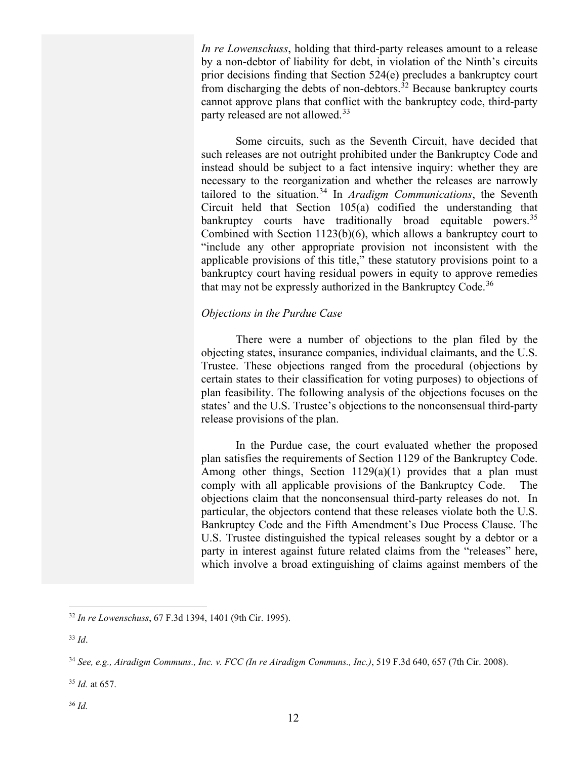*In re Lowenschuss*, holding that third-party releases amount to a release by a non-debtor of liability for debt, in violation of the Ninth's circuits prior decisions finding that Section 524(e) precludes a bankruptcy court from discharging the debts of non-debtors.<sup>[32](#page-11-0)</sup> Because bankruptcy courts cannot approve plans that conflict with the bankruptcy code, third-party party released are not allowed.<sup>[33](#page-11-1)</sup>

Some circuits, such as the Seventh Circuit, have decided that such releases are not outright prohibited under the Bankruptcy Code and instead should be subject to a fact intensive inquiry: whether they are necessary to the reorganization and whether the releases are narrowly tailored to the situation.[34](#page-11-2) In *Aradigm Communications*, the Seventh Circuit held that Section 105(a) codified the understanding that bankruptcy courts have traditionally broad equitable powers.<sup>[35](#page-11-3)</sup> Combined with Section 1123(b)(6), which allows a bankruptcy court to "include any other appropriate provision not inconsistent with the applicable provisions of this title," these statutory provisions point to a bankruptcy court having residual powers in equity to approve remedies that may not be expressly authorized in the Bankruptcy Code.<sup>[36](#page-11-4)</sup>

#### *Objections in the Purdue Case*

There were a number of objections to the plan filed by the objecting states, insurance companies, individual claimants, and the U.S. Trustee. These objections ranged from the procedural (objections by certain states to their classification for voting purposes) to objections of plan feasibility. The following analysis of the objections focuses on the states' and the U.S. Trustee's objections to the nonconsensual third-party release provisions of the plan.

In the Purdue case, the court evaluated whether the proposed plan satisfies the requirements of Section 1129 of the Bankruptcy Code. Among other things, Section 1129(a)(1) provides that a plan must comply with all applicable provisions of the Bankruptcy Code. The objections claim that the nonconsensual third-party releases do not. In particular, the objectors contend that these releases violate both the U.S. Bankruptcy Code and the Fifth Amendment's Due Process Clause. The U.S. Trustee distinguished the typical releases sought by a debtor or a party in interest against future related claims from the "releases" here, which involve a broad extinguishing of claims against members of the

<span id="page-11-4"></span><span id="page-11-3"></span><sup>35</sup> *Id.* at 657.

<span id="page-11-0"></span><sup>32</sup> *In re Lowenschuss*, 67 F.3d 1394, 1401 (9th Cir. 1995).

<span id="page-11-1"></span><sup>33</sup> *Id*.

<span id="page-11-2"></span><sup>34</sup> *See, e.g., Airadigm Communs., Inc. v. FCC (In re Airadigm Communs., Inc.)*, 519 F.3d 640, 657 (7th Cir. 2008).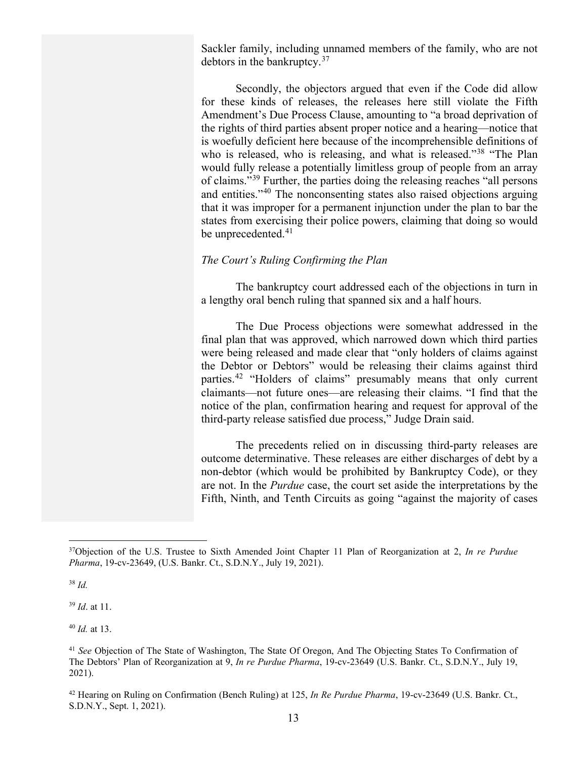Sackler family, including unnamed members of the family, who are not debtors in the bankruptcy.[37](#page-12-0)

Secondly, the objectors argued that even if the Code did allow for these kinds of releases, the releases here still violate the Fifth Amendment's Due Process Clause, amounting to "a broad deprivation of the rights of third parties absent proper notice and a hearing—notice that is woefully deficient here because of the incomprehensible definitions of who is released, who is releasing, and what is released."<sup>[38](#page-12-1)</sup> "The Plan would fully release a potentially limitless group of people from an array of claims."[39](#page-12-2) Further, the parties doing the releasing reaches "all persons and entities."[40](#page-12-3) The nonconsenting states also raised objections arguing that it was improper for a permanent injunction under the plan to bar the states from exercising their police powers, claiming that doing so would be unprecedented.<sup>[41](#page-12-4)</sup>

#### *The Court's Ruling Confirming the Plan*

The bankruptcy court addressed each of the objections in turn in a lengthy oral bench ruling that spanned six and a half hours.

The Due Process objections were somewhat addressed in the final plan that was approved, which narrowed down which third parties were being released and made clear that "only holders of claims against the Debtor or Debtors" would be releasing their claims against third parties.[42](#page-12-5) "Holders of claims" presumably means that only current claimants—not future ones—are releasing their claims. "I find that the notice of the plan, confirmation hearing and request for approval of the third-party release satisfied due process," Judge Drain said.

The precedents relied on in discussing third-party releases are outcome determinative. These releases are either discharges of debt by a non-debtor (which would be prohibited by Bankruptcy Code), or they are not. In the *Purdue* case, the court set aside the interpretations by the Fifth, Ninth, and Tenth Circuits as going "against the majority of cases

<span id="page-12-2"></span><sup>39</sup> *Id*. at 11.

<span id="page-12-3"></span><sup>40</sup> *Id.* at 13.

<span id="page-12-0"></span><sup>37</sup>Objection of the U.S. Trustee to Sixth Amended Joint Chapter 11 Plan of Reorganization at 2, *In re Purdue Pharma*, 19-cv-23649, (U.S. Bankr. Ct., S.D.N.Y., July 19, 2021).

<span id="page-12-1"></span><sup>38</sup> *Id.*

<span id="page-12-4"></span><sup>41</sup> *See* Objection of The State of Washington, The State Of Oregon, And The Objecting States To Confirmation of The Debtors' Plan of Reorganization at 9, *In re Purdue Pharma*, 19-cv-23649 (U.S. Bankr. Ct., S.D.N.Y., July 19, 2021).

<span id="page-12-5"></span><sup>42</sup> Hearing on Ruling on Confirmation (Bench Ruling) at 125, *In Re Purdue Pharma*, 19-cv-23649 (U.S. Bankr. Ct., S.D.N.Y., Sept. 1, 2021).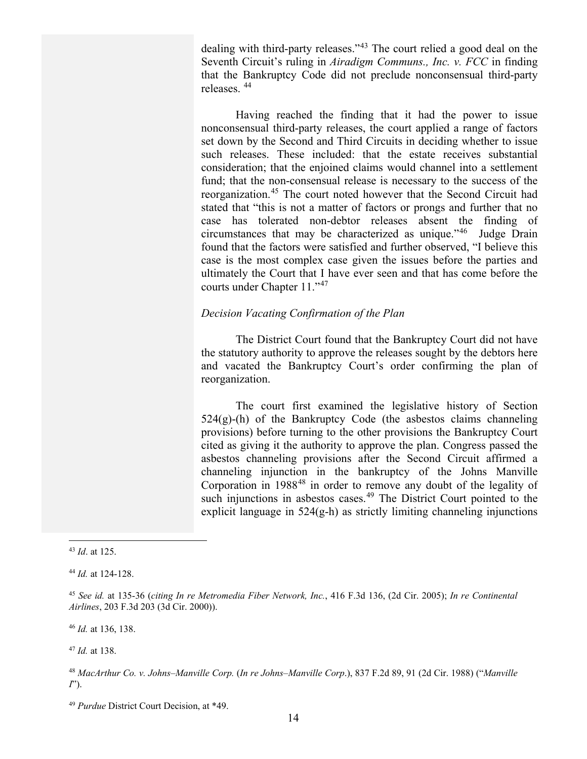dealing with third-party releases."<sup>[43](#page-13-0)</sup> The court relied a good deal on the Seventh Circuit's ruling in *Airadigm Communs., Inc. v. FCC* in finding that the Bankruptcy Code did not preclude nonconsensual third-party releases. [44](#page-13-1)

Having reached the finding that it had the power to issue nonconsensual third-party releases, the court applied a range of factors set down by the Second and Third Circuits in deciding whether to issue such releases. These included: that the estate receives substantial consideration; that the enjoined claims would channel into a settlement fund; that the non-consensual release is necessary to the success of the reorganization.[45](#page-13-2) The court noted however that the Second Circuit had stated that "this is not a matter of factors or prongs and further that no case has tolerated non-debtor releases absent the finding of circumstances that may be characterized as unique."[46](#page-13-3) Judge Drain found that the factors were satisfied and further observed, "I believe this case is the most complex case given the issues before the parties and ultimately the Court that I have ever seen and that has come before the courts under Chapter 11."[47](#page-13-4)

#### *Decision Vacating Confirmation of the Plan*

The District Court found that the Bankruptcy Court did not have the statutory authority to approve the releases sought by the debtors here and vacated the Bankruptcy Court's order confirming the plan of reorganization.

The court first examined the legislative history of Section  $524(g)$ -(h) of the Bankruptcy Code (the asbestos claims channeling provisions) before turning to the other provisions the Bankruptcy Court cited as giving it the authority to approve the plan. Congress passed the asbestos channeling provisions after the Second Circuit affirmed a channeling injunction in the bankruptcy of the Johns Manville Corporation in 1988<sup>[48](#page-13-5)</sup> in order to remove any doubt of the legality of such injunctions in asbestos cases.<sup>[49](#page-13-6)</sup> The District Court pointed to the explicit language in 524(g-h) as strictly limiting channeling injunctions

<span id="page-13-3"></span><sup>46</sup> *Id.* at 136, 138.

<span id="page-13-4"></span><sup>47</sup> *Id.* at 138.

<span id="page-13-0"></span><sup>43</sup> *Id*. at 125.

<span id="page-13-1"></span><sup>44</sup> *Id.* at 124-128.

<span id="page-13-2"></span><sup>45</sup> *See id.* at 135-36 (*citing In re Metromedia Fiber Network, Inc.*, 416 F.3d 136, (2d Cir. 2005); *In re Continental Airlines*, 203 F.3d 203 (3d Cir. 2000)).

<span id="page-13-5"></span><sup>48</sup> *MacArthur Co. v. Johns–Manville Corp.* (*In re Johns–Manville Corp*.), 837 F.2d 89, 91 (2d Cir. 1988) ("*Manville I*").

<span id="page-13-6"></span><sup>49</sup> *Purdue* District Court Decision, at \*49.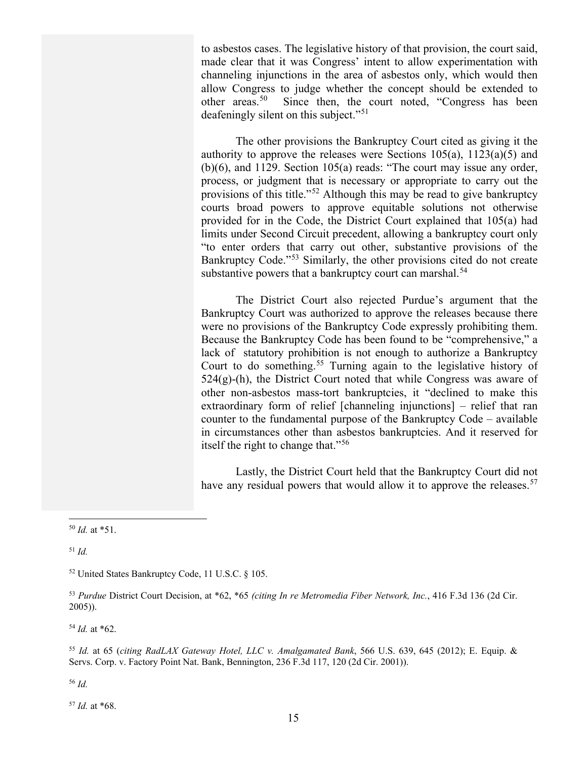to asbestos cases. The legislative history of that provision, the court said, made clear that it was Congress' intent to allow experimentation with channeling injunctions in the area of asbestos only, which would then allow Congress to judge whether the concept should be extended to other areas.<sup>[50](#page-14-0)</sup> Since then, the court noted, "Congress has been deafeningly silent on this subject."<sup>[51](#page-14-1)</sup>

The other provisions the Bankruptcy Court cited as giving it the authority to approve the releases were Sections  $105(a)$ ,  $1123(a)(5)$  and (b)(6), and 1129. Section 105(a) reads: "The court may issue any order, process, or judgment that is necessary or appropriate to carry out the provisions of this title."[52](#page-14-2) Although this may be read to give bankruptcy courts broad powers to approve equitable solutions not otherwise provided for in the Code, the District Court explained that 105(a) had limits under Second Circuit precedent, allowing a bankruptcy court only "to enter orders that carry out other, substantive provisions of the Bankruptcy Code."[53](#page-14-3) Similarly, the other provisions cited do not create substantive powers that a bankruptcy court can marshal.<sup>[54](#page-14-4)</sup>

The District Court also rejected Purdue's argument that the Bankruptcy Court was authorized to approve the releases because there were no provisions of the Bankruptcy Code expressly prohibiting them. Because the Bankruptcy Code has been found to be "comprehensive," a lack of statutory prohibition is not enough to authorize a Bankruptcy Court to do something.<sup>[55](#page-14-5)</sup> Turning again to the legislative history of  $524(g)$ -(h), the District Court noted that while Congress was aware of other non-asbestos mass-tort bankruptcies, it "declined to make this extraordinary form of relief [channeling injunctions] – relief that ran counter to the fundamental purpose of the Bankruptcy Code – available in circumstances other than asbestos bankruptcies. And it reserved for itself the right to change that."[56](#page-14-6)

Lastly, the District Court held that the Bankruptcy Court did not have any residual powers that would allow it to approve the releases.<sup>[57](#page-14-7)</sup>

<span id="page-14-1"></span><sup>51</sup> *Id.* 

<span id="page-14-4"></span><sup>54</sup> *Id.* at \*62.

<span id="page-14-5"></span><sup>55</sup> *Id.* at 65 (*citing RadLAX Gateway Hotel, LLC v. Amalgamated Bank*, 566 U.S. 639, 645 (2012); E. Equip. & Servs. Corp. v. Factory Point Nat. Bank, Bennington, 236 F.3d 117, 120 (2d Cir. 2001)).

<span id="page-14-6"></span><sup>56</sup> *Id.*

<span id="page-14-7"></span><sup>57</sup> *Id.* at \*68.

<span id="page-14-0"></span><sup>50</sup> *Id.* at \*51.

<span id="page-14-2"></span><sup>52</sup> United States Bankruptcy Code, 11 U.S.C. § 105.

<span id="page-14-3"></span><sup>53</sup> *Purdue* District Court Decision, at \*62, \*65 *(citing In re Metromedia Fiber Network, Inc.*, 416 F.3d 136 (2d Cir. 2005)).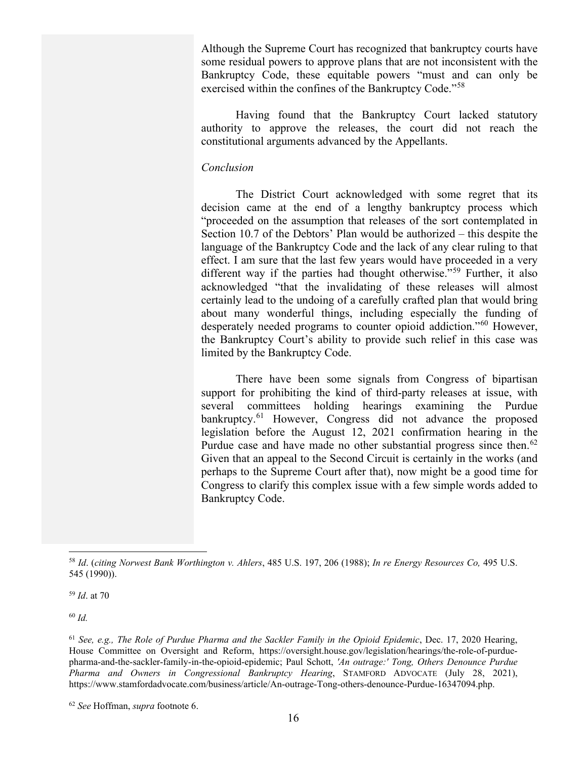Although the Supreme Court has recognized that bankruptcy courts have some residual powers to approve plans that are not inconsistent with the Bankruptcy Code, these equitable powers "must and can only be exercised within the confines of the Bankruptcy Code."<sup>[58](#page-15-0)</sup>

Having found that the Bankruptcy Court lacked statutory authority to approve the releases, the court did not reach the constitutional arguments advanced by the Appellants.

#### *Conclusion*

The District Court acknowledged with some regret that its decision came at the end of a lengthy bankruptcy process which "proceeded on the assumption that releases of the sort contemplated in Section 10.7 of the Debtors' Plan would be authorized – this despite the language of the Bankruptcy Code and the lack of any clear ruling to that effect. I am sure that the last few years would have proceeded in a very different way if the parties had thought otherwise."<sup>[59](#page-15-1)</sup> Further, it also acknowledged "that the invalidating of these releases will almost certainly lead to the undoing of a carefully crafted plan that would bring about many wonderful things, including especially the funding of desperately needed programs to counter opioid addiction."[60](#page-15-2) However, the Bankruptcy Court's ability to provide such relief in this case was limited by the Bankruptcy Code.

There have been some signals from Congress of bipartisan support for prohibiting the kind of third-party releases at issue, with several committees holding hearings examining the Purdue bankruptcy.<sup>[61](#page-15-3)</sup> However, Congress did not advance the proposed legislation before the August 12, 2021 confirmation hearing in the Purdue case and have made no other substantial progress since then.<sup>[62](#page-15-4)</sup> Given that an appeal to the Second Circuit is certainly in the works (and perhaps to the Supreme Court after that), now might be a good time for Congress to clarify this complex issue with a few simple words added to Bankruptcy Code.

<span id="page-15-2"></span><sup>60</sup> *Id.*

<span id="page-15-0"></span><sup>58</sup> *Id*. (*citing Norwest Bank Worthington v. Ahlers*, 485 U.S. 197, 206 (1988); *In re Energy Resources Co,* 495 U.S. 545 (1990)).

<span id="page-15-1"></span><sup>59</sup> *Id*. at 70

<span id="page-15-3"></span><sup>61</sup> *See, e.g., The Role of Purdue Pharma and the Sackler Family in the Opioid Epidemic*, Dec. 17, 2020 Hearing, House Committee on Oversight and Reform, https://oversight.house.gov/legislation/hearings/the-role-of-purduepharma-and-the-sackler-family-in-the-opioid-epidemic; Paul Schott, *'An outrage:' Tong, Others Denounce Purdue Pharma and Owners in Congressional Bankruptcy Hearing*, STAMFORD ADVOCATE (July 28, 2021), https://www.stamfordadvocate.com/business/article/An-outrage-Tong-others-denounce-Purdue-16347094.php.

<span id="page-15-4"></span><sup>62</sup> *See* Hoffman, *supra* footnote 6.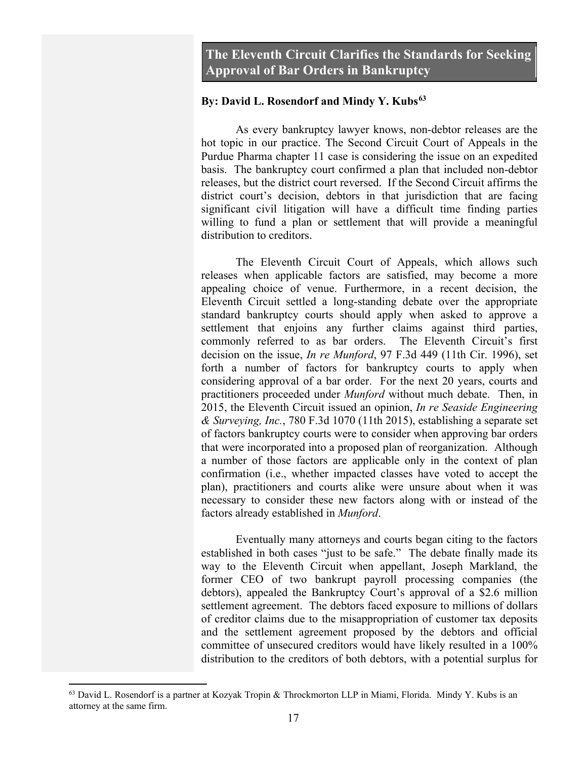#### **By: David L. Rosendorf and Mindy Y. Kubs[63](#page-16-0)**

As every bankruptcy lawyer knows, non-debtor releases are the hot topic in our practice. The Second Circuit Court of Appeals in the Purdue Pharma chapter 11 case is considering the issue on an expedited basis. The bankruptcy court confirmed a plan that included non-debtor releases, but the district court reversed. If the Second Circuit affirms the district court's decision, debtors in that jurisdiction that are facing significant civil litigation will have a difficult time finding parties willing to fund a plan or settlement that will provide a meaningful distribution to creditors.

The Eleventh Circuit Court of Appeals, which allows such releases when applicable factors are satisfied, may become a more appealing choice of venue. Furthermore, in a recent decision, the Eleventh Circuit settled a long-standing debate over the appropriate standard bankruptcy courts should apply when asked to approve a settlement that enjoins any further claims against third parties, commonly referred to as bar orders. The Eleventh Circuit's first decision on the issue, *In re Munford*, 97 F.3d 449 (11th Cir. 1996), set forth a number of factors for bankruptcy courts to apply when considering approval of a bar order. For the next 20 years, courts and practitioners proceeded under *Munford* without much debate. Then, in 2015, the Eleventh Circuit issued an opinion, *In re Seaside Engineering & Surveying, Inc.*, 780 F.3d 1070 (11th 2015), establishing a separate set of factors bankruptcy courts were to consider when approving bar orders that were incorporated into a proposed plan of reorganization. Although a number of those factors are applicable only in the context of plan confirmation (i.e., whether impacted classes have voted to accept the plan), practitioners and courts alike were unsure about when it was necessary to consider these new factors along with or instead of the factors already established in *Munford*.

Eventually many attorneys and courts began citing to the factors established in both cases "just to be safe." The debate finally made its way to the Eleventh Circuit when appellant, Joseph Markland, the former CEO of two bankrupt payroll processing companies (the debtors), appealed the Bankruptcy Court's approval of a \$2.6 million settlement agreement. The debtors faced exposure to millions of dollars of creditor claims due to the misappropriation of customer tax deposits and the settlement agreement proposed by the debtors and official committee of unsecured creditors would have likely resulted in a 100% distribution to the creditors of both debtors, with a potential surplus for

<span id="page-16-0"></span> $63$  David L. Rosendorf is a partner at Kozyak Tropin & Throckmorton LLP in Miami, Florida. Mindy Y. Kubs is an attorney at the same firm.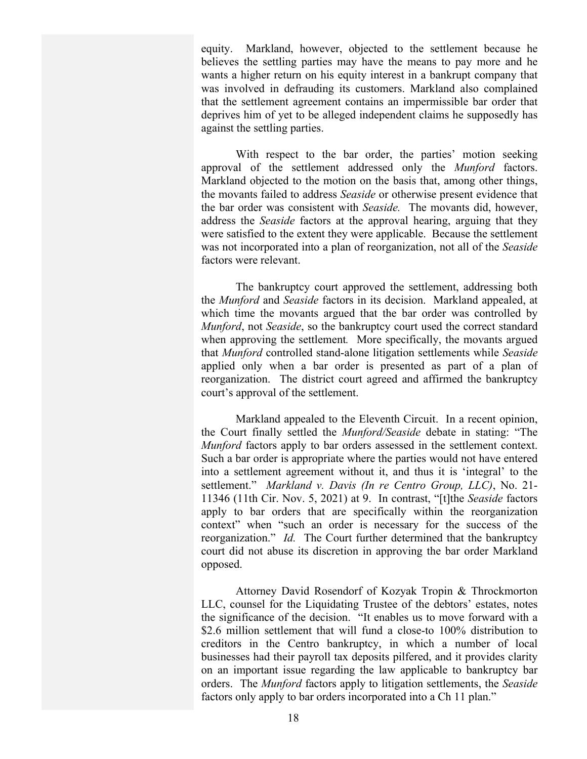equity. Markland, however, objected to the settlement because he believes the settling parties may have the means to pay more and he wants a higher return on his equity interest in a bankrupt company that was involved in defrauding its customers. Markland also complained that the settlement agreement contains an impermissible bar order that deprives him of yet to be alleged independent claims he supposedly has against the settling parties.

With respect to the bar order, the parties' motion seeking approval of the settlement addressed only the *Munford* factors. Markland objected to the motion on the basis that, among other things, the movants failed to address *Seaside* or otherwise present evidence that the bar order was consistent with *Seaside.* The movants did, however, address the *Seaside* factors at the approval hearing, arguing that they were satisfied to the extent they were applicable. Because the settlement was not incorporated into a plan of reorganization, not all of the *Seaside*  factors were relevant.

The bankruptcy court approved the settlement, addressing both the *Munford* and *Seaside* factors in its decision. Markland appealed, at which time the movants argued that the bar order was controlled by *Munford*, not *Seaside*, so the bankruptcy court used the correct standard when approving the settlement*.* More specifically, the movants argued that *Munford* controlled stand-alone litigation settlements while *Seaside*  applied only when a bar order is presented as part of a plan of reorganization. The district court agreed and affirmed the bankruptcy court's approval of the settlement.

Markland appealed to the Eleventh Circuit. In a recent opinion, the Court finally settled the *Munford/Seaside* debate in stating: "The *Munford* factors apply to bar orders assessed in the settlement context. Such a bar order is appropriate where the parties would not have entered into a settlement agreement without it, and thus it is 'integral' to the settlement." *Markland v. Davis (In re Centro Group, LLC)*, No. 21- 11346 (11th Cir. Nov. 5, 2021) at 9. In contrast, "[t]the *Seaside* factors apply to bar orders that are specifically within the reorganization context" when "such an order is necessary for the success of the reorganization." *Id.* The Court further determined that the bankruptcy court did not abuse its discretion in approving the bar order Markland opposed.

Attorney David Rosendorf of Kozyak Tropin & Throckmorton LLC, counsel for the Liquidating Trustee of the debtors' estates, notes the significance of the decision. "It enables us to move forward with a \$2.6 million settlement that will fund a close-to 100% distribution to creditors in the Centro bankruptcy, in which a number of local businesses had their payroll tax deposits pilfered, and it provides clarity on an important issue regarding the law applicable to bankruptcy bar orders. The *Munford* factors apply to litigation settlements, the *Seaside* factors only apply to bar orders incorporated into a Ch 11 plan."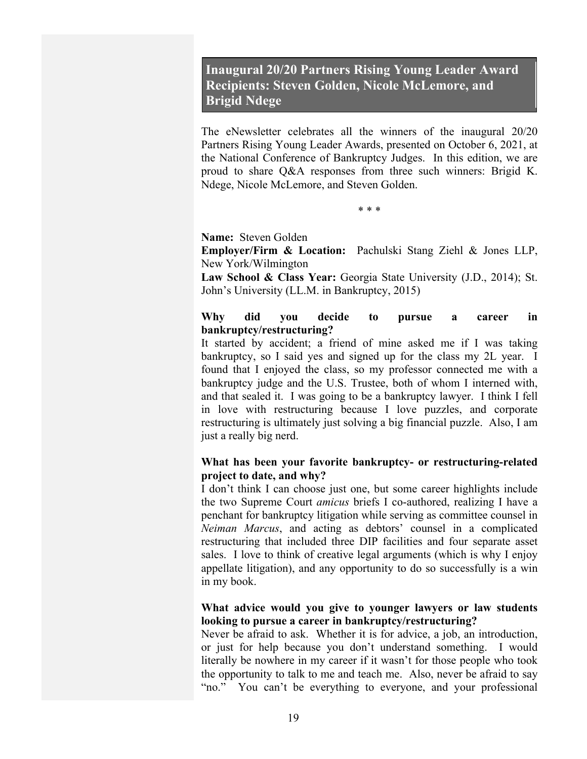## **Inaugural 20/20 Partners Rising Young Leader Award Recipients: Steven Golden, Nicole McLemore, and Brigid Ndege**

The eNewsletter celebrates all the winners of the inaugural 20/20 Partners Rising Young Leader Awards, presented on October 6, 2021, at the National Conference of Bankruptcy Judges. In this edition, we are proud to share Q&A responses from three such winners: Brigid K. Ndege, Nicole McLemore, and Steven Golden.

\* \* \*

**Name:** Steven Golden

**Employer/Firm & Location:** Pachulski Stang Ziehl & Jones LLP, New York/Wilmington

**Law School & Class Year:** Georgia State University (J.D., 2014); St. John's University (LL.M. in Bankruptcy, 2015)

#### **Why did you decide to pursue a career in bankruptcy/restructuring?**

It started by accident; a friend of mine asked me if I was taking bankruptcy, so I said yes and signed up for the class my 2L year. I found that I enjoyed the class, so my professor connected me with a bankruptcy judge and the U.S. Trustee, both of whom I interned with, and that sealed it. I was going to be a bankruptcy lawyer. I think I fell in love with restructuring because I love puzzles, and corporate restructuring is ultimately just solving a big financial puzzle. Also, I am just a really big nerd.

#### **What has been your favorite bankruptcy- or restructuring-related project to date, and why?**

I don't think I can choose just one, but some career highlights include the two Supreme Court *amicus* briefs I co-authored, realizing I have a penchant for bankruptcy litigation while serving as committee counsel in *Neiman Marcus*, and acting as debtors' counsel in a complicated restructuring that included three DIP facilities and four separate asset sales. I love to think of creative legal arguments (which is why I enjoy appellate litigation), and any opportunity to do so successfully is a win in my book.

#### **What advice would you give to younger lawyers or law students looking to pursue a career in bankruptcy/restructuring?**

Never be afraid to ask. Whether it is for advice, a job, an introduction, or just for help because you don't understand something. I would literally be nowhere in my career if it wasn't for those people who took the opportunity to talk to me and teach me. Also, never be afraid to say "no." You can't be everything to everyone, and your professional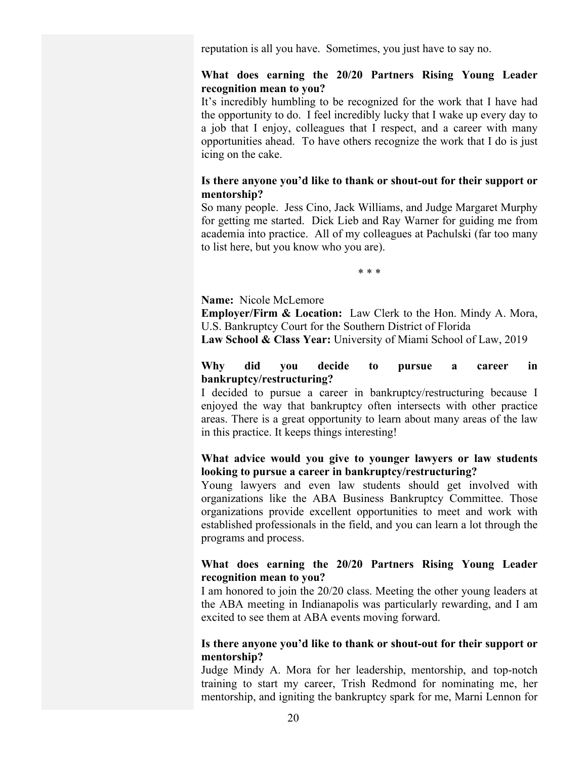reputation is all you have. Sometimes, you just have to say no.

#### **What does earning the 20/20 Partners Rising Young Leader recognition mean to you?**

It's incredibly humbling to be recognized for the work that I have had the opportunity to do. I feel incredibly lucky that I wake up every day to a job that I enjoy, colleagues that I respect, and a career with many opportunities ahead. To have others recognize the work that I do is just icing on the cake.

#### **Is there anyone you'd like to thank or shout-out for their support or mentorship?**

So many people. Jess Cino, Jack Williams, and Judge Margaret Murphy for getting me started. Dick Lieb and Ray Warner for guiding me from academia into practice. All of my colleagues at Pachulski (far too many to list here, but you know who you are).

\* \* \*

#### **Name:** Nicole McLemore

**Employer/Firm & Location:** Law Clerk to the Hon. Mindy A. Mora, U.S. Bankruptcy Court for the Southern District of Florida

**Law School & Class Year:** University of Miami School of Law, 2019

#### **Why did you decide to pursue a career in bankruptcy/restructuring?**

I decided to pursue a career in bankruptcy/restructuring because I enjoyed the way that bankruptcy often intersects with other practice areas. There is a great opportunity to learn about many areas of the law in this practice. It keeps things interesting!

#### **What advice would you give to younger lawyers or law students looking to pursue a career in bankruptcy/restructuring?**

Young lawyers and even law students should get involved with organizations like the ABA Business Bankruptcy Committee. Those organizations provide excellent opportunities to meet and work with established professionals in the field, and you can learn a lot through the programs and process.

#### **What does earning the 20/20 Partners Rising Young Leader recognition mean to you?**

I am honored to join the 20/20 class. Meeting the other young leaders at the ABA meeting in Indianapolis was particularly rewarding, and I am excited to see them at ABA events moving forward.

#### **Is there anyone you'd like to thank or shout-out for their support or mentorship?**

Judge Mindy A. Mora for her leadership, mentorship, and top-notch training to start my career, Trish Redmond for nominating me, her mentorship, and igniting the bankruptcy spark for me, Marni Lennon for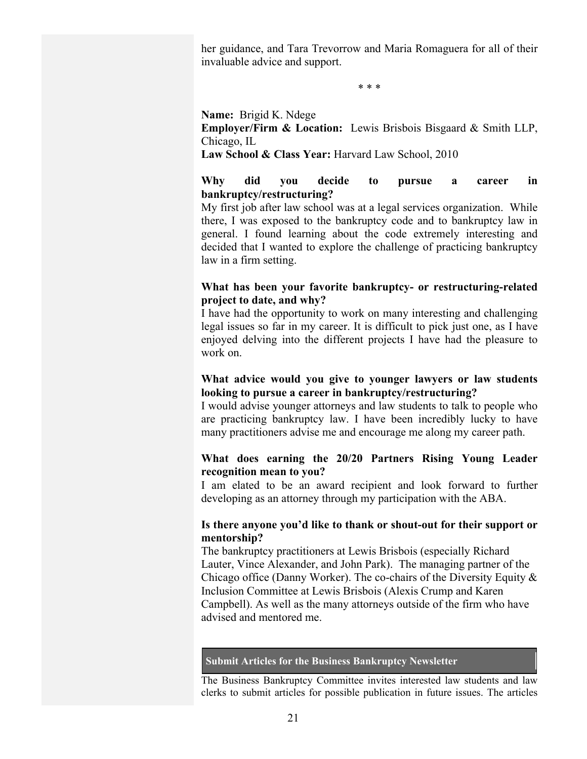her guidance, and Tara Trevorrow and Maria Romaguera for all of their invaluable advice and support.

\* \* \*

**Name:** Brigid K. Ndege

**Employer/Firm & Location:** Lewis Brisbois Bisgaard & Smith LLP, Chicago, IL

**Law School & Class Year:** Harvard Law School, 2010

#### **Why did you decide to pursue a career in bankruptcy/restructuring?**

My first job after law school was at a legal services organization. While there, I was exposed to the bankruptcy code and to bankruptcy law in general. I found learning about the code extremely interesting and decided that I wanted to explore the challenge of practicing bankruptcy law in a firm setting.

#### **What has been your favorite bankruptcy- or restructuring-related project to date, and why?**

I have had the opportunity to work on many interesting and challenging legal issues so far in my career. It is difficult to pick just one, as I have enjoyed delving into the different projects I have had the pleasure to work on.

#### **What advice would you give to younger lawyers or law students looking to pursue a career in bankruptcy/restructuring?**

I would advise younger attorneys and law students to talk to people who are practicing bankruptcy law. I have been incredibly lucky to have many practitioners advise me and encourage me along my career path.

#### **What does earning the 20/20 Partners Rising Young Leader recognition mean to you?**

I am elated to be an award recipient and look forward to further developing as an attorney through my participation with the ABA.

#### **Is there anyone you'd like to thank or shout-out for their support or mentorship?**

The bankruptcy practitioners at Lewis Brisbois (especially Richard Lauter, Vince Alexander, and John Park). The managing partner of the Chicago office (Danny Worker). The co-chairs of the Diversity Equity & Inclusion Committee at Lewis Brisbois (Alexis Crump and Karen Campbell). As well as the many attorneys outside of the firm who have advised and mentored me.

#### **Submit Articles for the Business Bankruptcy Newsletter**

The Business Bankruptcy Committee invites interested law students and law clerks to submit articles for possible publication in future issues. The articles